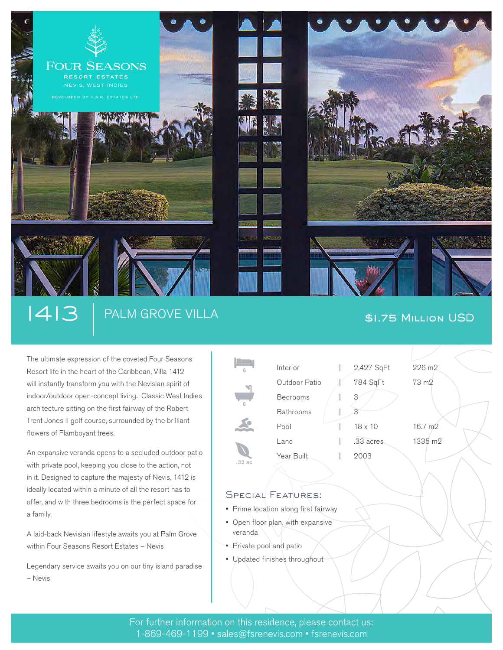

# 1413 PALM GROVE VILLA \$1.75 Million USD

The ultimate expression of the coveted Four Seasons Resort life in the heart of the Caribbean, Villa 1412 will instantly transform you with the Nevisian spirit of indoor/outdoor open-concept living. Classic West Indies architecture sitting on the first fairway of the Robert Trent Jones II golf course, surrounded by the brilliant flowers of Flamboyant trees.

An expansive veranda opens to a secluded outdoor patio with private pool, keeping you close to the action, not in it. Designed to capture the majesty of Nevis, 1412 is ideally located within a minute of all the resort has to offer, and with three bedrooms is the perfect space for a family.

A laid-back Nevisian lifestyle awaits you at Palm Grove within Four Seasons Resort Estates – Nevis

Legendary service awaits you on our tiny island paradise – Nevis

| 6      | Interior         | 2,427 SqFt     | 226 m2            |
|--------|------------------|----------------|-------------------|
|        | Outdoor Patio    | 784 SqFt       | 73 m <sub>2</sub> |
| 6      | <b>Bedrooms</b>  | З              |                   |
|        | <b>Bathrooms</b> |                |                   |
|        | Pool             | $18 \times 10$ | 16.7 m2           |
| .32 ac | Land             | .33 acres      | 1335 m2           |
|        | Year Built       | 2003           |                   |

## SPECIAL FEATURES:

۷

- Prime location along first fairway
- Open floor plan, with expansive veranda
- Private pool and patio
- Updated finishes throughout

For further information on this residence, please contact us: 1-869-469-1199 • sales@fsrenevis.com • fsrenevis.com